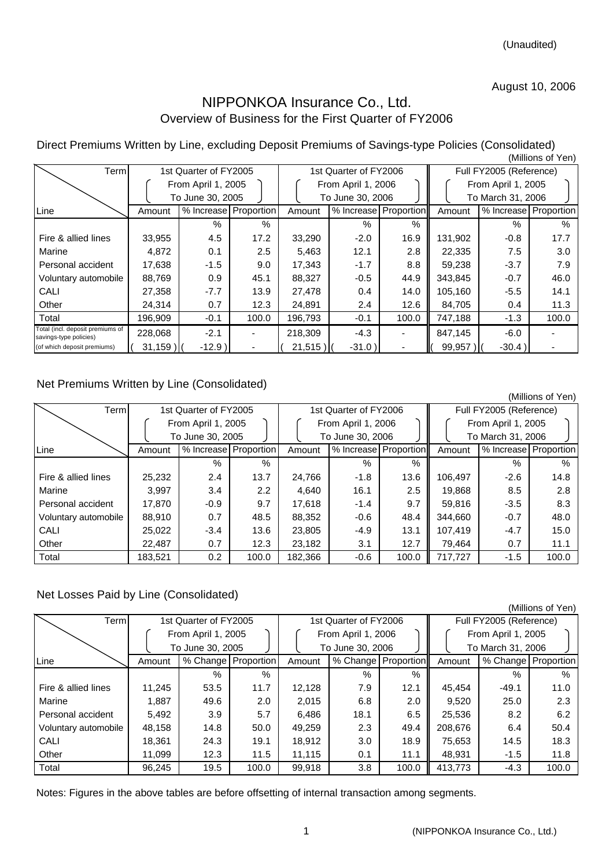#### August 10, 2006

## NIPPONKOA Insurance Co., Ltd. Overview of Business for the First Quarter of FY2006

Direct Premiums Written by Line, excluding Deposit Premiums of Savings-type Policies (Consolidated) (Millions of Yen)

|                                                            |                                      | , וייט טויטוויייו     |                         |            |                       |                       |                         |          |                       |  |
|------------------------------------------------------------|--------------------------------------|-----------------------|-------------------------|------------|-----------------------|-----------------------|-------------------------|----------|-----------------------|--|
| Term                                                       |                                      | 1st Quarter of FY2005 |                         |            | 1st Quarter of FY2006 |                       | Full FY2005 (Reference) |          |                       |  |
|                                                            |                                      | From April 1, 2005    |                         |            | From April 1, 2006    |                       | From April 1, 2005      |          |                       |  |
|                                                            | To June 30, 2005<br>To June 30, 2006 |                       |                         |            |                       | To March 31, 2006     |                         |          |                       |  |
| Line                                                       | Amount                               |                       | % Increase   Proportion | Amount     |                       | % Increase Proportion | Amount                  |          | % Increase Proportion |  |
|                                                            |                                      | $\%$                  | $\%$                    |            | $\%$                  | $\%$                  |                         | %        | $\%$                  |  |
| Fire & allied lines                                        | 33,955                               | 4.5                   | 17.2                    | 33,290     | $-2.0$                | 16.9                  | 131,902                 | $-0.8$   | 17.7                  |  |
| Marine                                                     | 4,872                                | 0.1                   | 2.5                     | 5,463      | 12.1                  | 2.8                   | 22,335                  | 7.5      | 3.0                   |  |
| Personal accident                                          | 17,638                               | $-1.5$                | 9.0                     | 17,343     | $-1.7$                | 8.8                   | 59,238                  | $-3.7$   | 7.9                   |  |
| Voluntary automobile                                       | 88,769                               | 0.9                   | 45.1                    | 88,327     | $-0.5$                | 44.9                  | 343,845                 | $-0.7$   | 46.0                  |  |
| CALI                                                       | 27,358                               | $-7.7$                | 13.9                    | 27,478     | $0.4^{\circ}$         | 14.0                  | 105,160                 | $-5.5$   | 14.1                  |  |
| Other                                                      | 24,314                               | 0.7                   | 12.3                    | 24,891     | 2.4                   | 12.6                  | 84,705                  | 0.4      | 11.3                  |  |
| Total                                                      | 196,909                              | $-0.1$                | 100.0                   | 196,793    | $-0.1$                | 100.0                 | 747,188                 | $-1.3$   | 100.0                 |  |
| Total (incl. deposit premiums of<br>savings-type policies) | 228,068                              | $-2.1$                |                         | 218,309    | $-4.3$                |                       | 847,145                 | $-6.0$   |                       |  |
| (of which deposit premiums)                                | $31,159$ )                           | $-12.9)$              |                         | $21,515$ ) | $-31.0$ )             |                       | 99,957                  | $-30.4)$ |                       |  |

#### Net Premiums Written by Line (Consolidated)

|                      |         |                       |               |         |                       |       |                         |                       | (Millions of Yen) |  |
|----------------------|---------|-----------------------|---------------|---------|-----------------------|-------|-------------------------|-----------------------|-------------------|--|
| <b>Term</b>          |         | 1st Quarter of FY2005 |               |         | 1st Quarter of FY2006 |       | Full FY2005 (Reference) |                       |                   |  |
|                      |         | From April 1, 2005    |               |         | From April 1, 2006    |       |                         | From April 1, 2005    |                   |  |
|                      |         | To June 30, 2005      |               |         | To June 30, 2006      |       |                         | To March 31, 2006     |                   |  |
| Line                 | Amount  | % Increase Proportion |               | Amount  | % Increase Proportion |       | Amount                  | % Increase Proportion |                   |  |
|                      |         | %                     | $\%$          |         | $\%$                  | $\%$  |                         | %                     | $\%$              |  |
| Fire & allied lines  | 25,232  | 2.4                   | 13.7          | 24,766  | $-1.8$                | 13.6  | 106,497                 | $-2.6$                | 14.8              |  |
| Marine               | 3,997   | 3.4                   | $2.2^{\circ}$ | 4,640   | 16.1                  | 2.5   | 19,868                  | 8.5                   | 2.8               |  |
| Personal accident    | 17,870  | $-0.9$                | 9.7           | 17.618  | $-1.4$                | 9.7   | 59.816                  | $-3.5$                | 8.3               |  |
| Voluntary automobile | 88,910  | 0.7                   | 48.5          | 88,352  | $-0.6$                | 48.4  | 344.660                 | $-0.7$                | 48.0              |  |
| CALI                 | 25,022  | $-3.4$                | 13.6          | 23,805  | -4.9                  | 13.1  | 107.419                 | $-4.7$                | 15.0              |  |
| Other                | 22.487  | 0.7                   | 12.3          | 23.182  | 3.1                   | 12.7  | 79.464                  | 0.7                   | 11.1              |  |
| Total                | 183,521 | 0.2                   | 100.0         | 182,366 | $-0.6$                | 100.0 | 717,727                 | $-1.5$                | 100.0             |  |

### Net Losses Paid by Line (Consolidated)

|                      |                    |                       |                       |        |                       |                     |                         |                    | (Millions of Yen)     |  |
|----------------------|--------------------|-----------------------|-----------------------|--------|-----------------------|---------------------|-------------------------|--------------------|-----------------------|--|
| Term                 |                    | 1st Quarter of FY2005 |                       |        | 1st Quarter of FY2006 |                     | Full FY2005 (Reference) |                    |                       |  |
|                      | From April 1, 2005 |                       |                       |        | From April 1, 2006    |                     |                         | From April 1, 2005 |                       |  |
|                      |                    | To June 30, 2005      |                       |        | To June 30, 2006      |                     |                         | To March 31, 2006  |                       |  |
| Line                 | Amount             |                       | % Change   Proportion | Amount |                       | % Change Proportion | Amount                  |                    | % Change   Proportion |  |
|                      |                    | %                     | $\%$                  |        | $\%$                  | %                   |                         | $\frac{0}{6}$      | $\%$                  |  |
| Fire & allied lines  | 11.245             | 53.5                  | 11.7                  | 12,128 | 7.9                   | 12.1                | 45,454                  | $-49.1$            | 11.0                  |  |
| Marine               | 1,887              | 49.6                  | 2.0                   | 2,015  | 6.8                   | 2.0                 | 9,520                   | 25.0               | 2.3                   |  |
| Personal accident    | 5,492              | 3.9                   | 5.7                   | 6.486  | 18.1                  | 6.5                 | 25,536                  | 8.2                | 6.2                   |  |
| Voluntary automobile | 48.158             | 14.8                  | 50.0                  | 49.259 | 2.3                   | 49.4                | 208,676                 | 6.4                | 50.4                  |  |
| <b>CALI</b>          | 18.361             | 24.3                  | 19.1                  | 18.912 | 3.0                   | 18.9                | 75.653                  | 14.5               | 18.3                  |  |
| Other                | 11.099             | 12.3                  | 11.5                  | 11.115 | 0.1                   | 11.1                | 48.931                  | $-1.5$             | 11.8                  |  |
| Total                | 96,245             | 19.5                  | 100.0                 | 99,918 | 3.8                   | 100.0               | 413.773                 | $-4.3$             | 100.0                 |  |

Notes: Figures in the above tables are before offsetting of internal transaction among segments.

1 (NIPPONKOA Insurance Co., Ltd.)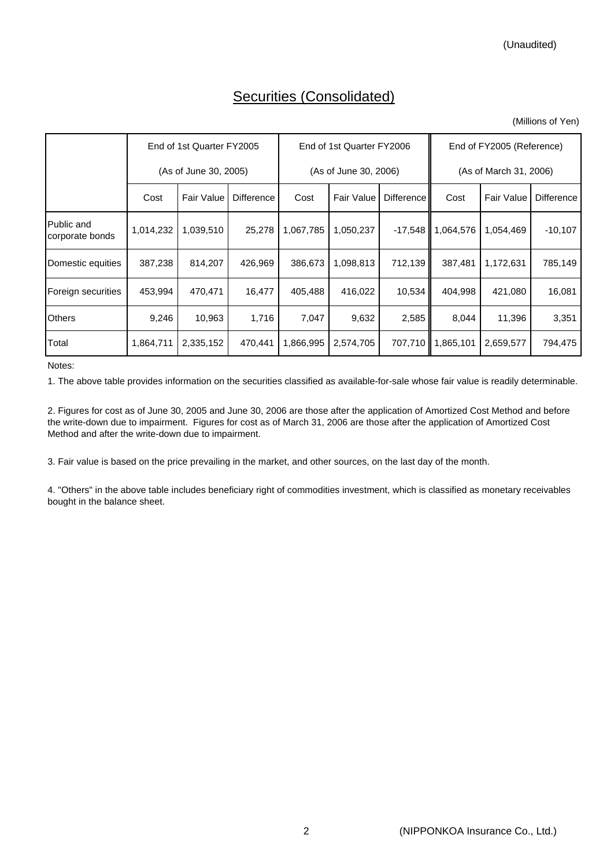# Securities (Consolidated)

| (Millions of Yen) |
|-------------------|
|-------------------|

|                               | End of 1st Quarter FY2005 |            |                   |           | End of 1st Quarter FY2006 |                   |                        | End of FY2005 (Reference) |                   |  |
|-------------------------------|---------------------------|------------|-------------------|-----------|---------------------------|-------------------|------------------------|---------------------------|-------------------|--|
|                               | (As of June 30, 2005)     |            |                   |           | (As of June 30, 2006)     |                   | (As of March 31, 2006) |                           |                   |  |
|                               | Cost                      | Fair Value | <b>Difference</b> | Cost      | <b>Fair Value</b>         | <b>Difference</b> | Cost                   | <b>Fair Value</b>         | <b>Difference</b> |  |
| Public and<br>corporate bonds | 1,014,232                 | 1,039,510  | 25,278            | 1,067,785 | 1,050,237                 | $-17,548$         | 1,064,576              | 1,054,469                 | $-10,107$         |  |
| Domestic equities             | 387,238                   | 814,207    | 426,969           | 386,673   | 1,098,813                 | 712,139           | 387,481                | 1,172,631                 | 785,149           |  |
| Foreign securities            | 453,994                   | 470,471    | 16,477            | 405,488   | 416,022                   | 10,534            | 404,998                | 421,080                   | 16,081            |  |
| <b>Others</b>                 | 9,246                     | 10,963     | 1,716             | 7,047     | 9,632                     | 2,585             | 8,044                  | 11,396                    | 3,351             |  |
| Total                         | 1,864,711                 | 2,335,152  | 470,441           | 1,866,995 | 2,574,705                 | 707,710 <b>II</b> | 1,865,101              | 2,659,577                 | 794,475           |  |

Notes:

1. The above table provides information on the securities classified as available-for-sale whose fair value is readily determinable.

2. Figures for cost as of June 30, 2005 and June 30, 2006 are those after the application of Amortized Cost Method and before the write-down due to impairment. Figures for cost as of March 31, 2006 are those after the application of Amortized Cost Method and after the write-down due to impairment.

3. Fair value is based on the price prevailing in the market, and other sources, on the last day of the month.

4. "Others" in the above table includes beneficiary right of commodities investment, which is classified as monetary receivables bought in the balance sheet.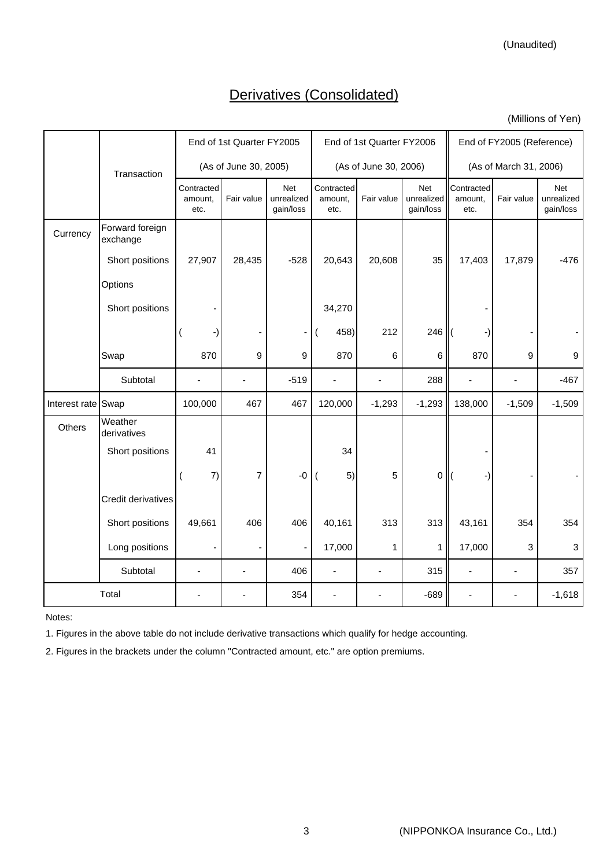(Unaudited)

# Derivatives (Consolidated)

(Millions of Yen)

|                    |                             |                               | End of 1st Quarter FY2005 |                                |                               | End of 1st Quarter FY2006 |                                |                               | End of FY2005 (Reference) |                                |  |
|--------------------|-----------------------------|-------------------------------|---------------------------|--------------------------------|-------------------------------|---------------------------|--------------------------------|-------------------------------|---------------------------|--------------------------------|--|
|                    | Transaction                 |                               | (As of June 30, 2005)     |                                |                               | (As of June 30, 2006)     |                                | (As of March 31, 2006)        |                           |                                |  |
|                    |                             | Contracted<br>amount,<br>etc. | Fair value                | Net<br>unrealized<br>gain/loss | Contracted<br>amount,<br>etc. | Fair value                | Net<br>unrealized<br>gain/loss | Contracted<br>amount,<br>etc. | Fair value                | Net<br>unrealized<br>gain/loss |  |
| Currency           | Forward foreign<br>exchange |                               |                           |                                |                               |                           |                                |                               |                           |                                |  |
|                    | Short positions             | 27,907                        | 28,435                    | $-528$                         | 20,643                        | 20,608                    | 35                             | 17,403                        | 17,879                    | $-476$                         |  |
|                    | Options                     |                               |                           |                                |                               |                           |                                |                               |                           |                                |  |
|                    | Short positions             |                               |                           |                                | 34,270                        |                           |                                |                               |                           |                                |  |
|                    |                             |                               |                           | $\overline{\phantom{0}}$       | 458)                          | 212                       | 246                            |                               |                           |                                |  |
|                    | Swap                        | 870                           | 9                         | 9                              | 870                           | 6                         | 6                              | 870                           | 9                         | $\boldsymbol{9}$               |  |
|                    | Subtotal                    |                               |                           | $-519$                         | $\blacksquare$                | $\blacksquare$            | 288                            | ÷,                            | ÷,                        | $-467$                         |  |
| Interest rate Swap |                             | 100,000                       | 467                       | 467                            | 120,000                       | $-1,293$                  | $-1,293$                       | 138,000                       | $-1,509$                  | $-1,509$                       |  |
| Others             | Weather<br>derivatives      |                               |                           |                                |                               |                           |                                |                               |                           |                                |  |
|                    | Short positions             | 41                            |                           |                                | 34                            |                           |                                |                               |                           |                                |  |
|                    |                             | 7)                            | $\overline{7}$            | $-0$                           | 5)                            | 5                         | $\mathbf 0$                    | -)                            |                           |                                |  |
|                    | Credit derivatives          |                               |                           |                                |                               |                           |                                |                               |                           |                                |  |
|                    | Short positions             | 49,661                        | 406                       | 406                            | 40,161                        | 313                       | 313                            | 43,161                        | 354                       | 354                            |  |
|                    | Long positions              |                               |                           | $\overline{\phantom{a}}$       | 17,000                        | 1                         | 1                              | 17,000                        | 3                         | 3                              |  |
|                    | Subtotal                    | $\overline{\phantom{a}}$      |                           | 406                            | $\overline{\phantom{a}}$      | $\overline{\phantom{a}}$  | 315                            | $\blacksquare$                | $\overline{\phantom{a}}$  | 357                            |  |
|                    | Total                       |                               |                           | 354                            |                               |                           | $-689$                         |                               |                           | $-1,618$                       |  |

Notes:

1. Figures in the above table do not include derivative transactions which qualify for hedge accounting.

2. Figures in the brackets under the column "Contracted amount, etc." are option premiums.